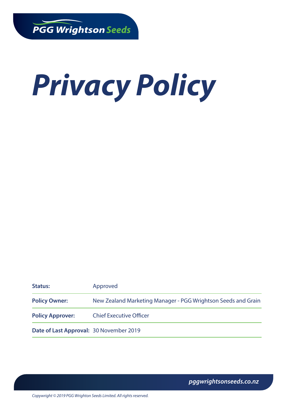# *Privacy Policy*

| <b>Status:</b>                          | Approved                                                      |
|-----------------------------------------|---------------------------------------------------------------|
| <b>Policy Owner:</b>                    | New Zealand Marketing Manager - PGG Wrightson Seeds and Grain |
| <b>Policy Approver:</b>                 | <b>Chief Executive Officer</b>                                |
| Date of Last Approval: 30 November 2019 |                                                               |

*pggwrightsonseeds.co.nz*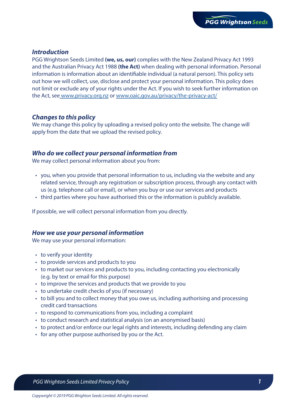### *Introduction*

PGG Wrightson Seeds Limited **(we, us, our)** complies with the New Zealand Privacy Act 1993 and the Australian Privacy Act 1988 **(the Act)** when dealing with personal information. Personal information is information about an identifiable individual (a natural person). This policy sets out how we will collect, use, disclose and protect your personal information. This policy does not limit or exclude any of your rights under the Act. If you wish to seek further information on the Act, se[e www.privacy.org.nz](https://www.privacy.org.nz) or [www.oaic.gov.au/privacy/the-privacy-act/](https://www.oaic.gov.au/privacy/the-privacy-act/)

# *Changes to this policy*

We may change this policy by uploading a revised policy onto the website. The change will apply from the date that we upload the revised policy.

## *Who do we collect your personal information from*

We may collect personal information about you from:

- you, when you provide that personal information to us, including via the website and any related service, through any registration or subscription process, through any contact with us (e.g. telephone call or email), or when you buy or use our services and products
- third parties where you have authorised this or the information is publicly available.

If possible, we will collect personal information from you directly.

#### *How we use your personal information*

We may use your personal information:

- to verify your identity
- to provide services and products to you
- to market our services and products to you, including contacting you electronically (e.g. by text or email for this purpose)
- to improve the services and products that we provide to you
- to undertake credit checks of you (if necessary)
- to bill you and to collect money that you owe us, including authorising and processing credit card transactions
- to respond to communications from you, including a complaint
- to conduct research and statistical analysis (on an anonymised basis)
- to protect and/or enforce our legal rights and interests, including defending any claim
- for any other purpose authorised by you or the Act.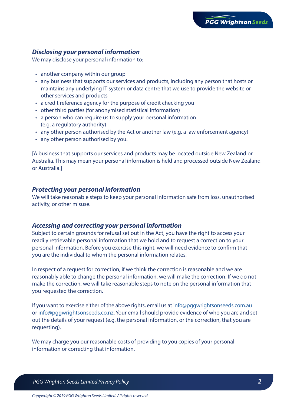# *Disclosing your personal information*

We may disclose your personal information to:

- another company within our group
- any business that supports our services and products, including any person that hosts or maintains any underlying IT system or data centre that we use to provide the website or other services and products
- a credit reference agency for the purpose of credit checking you
- other third parties (for anonymised statistical information)
- a person who can require us to supply your personal information (e.g. a regulatory authority)
- any other person authorised by the Act or another law (e.g. a law enforcement agency)
- any other person authorised by you.

[A business that supports our services and products may be located outside New Zealand or Australia. This may mean your personal information is held and processed outside New Zealand or Australia.]

#### *Protecting your personal information*

We will take reasonable steps to keep your personal information safe from loss, unauthorised activity, or other misuse.

#### *Accessing and correcting your personal information*

Subject to certain grounds for refusal set out in the Act, you have the right to access your readily retrievable personal information that we hold and to request a correction to your personal information. Before you exercise this right, we will need evidence to confirm that you are the individual to whom the personal information relates.

In respect of a request for correction, if we think the correction is reasonable and we are reasonably able to change the personal information, we will make the correction. If we do not make the correction, we will take reasonable steps to note on the personal information that you requested the correction.

If you want to exercise either of the above rights, email us at [info@pggwrightsonseeds.com.au](mailto:info@pggwrightsonseeds.com.au) or [info@pggwrightsonseeds.co.nz.](mailto:info@pggwrightsonseeds.co.nz) Your email should provide evidence of who you are and set out the details of your request (e.g. the personal information, or the correction, that you are requesting).

We may charge you our reasonable costs of providing to you copies of your personal information or correcting that information.

 *PGG Wrighton Seeds Limited Privacy Policy 2*